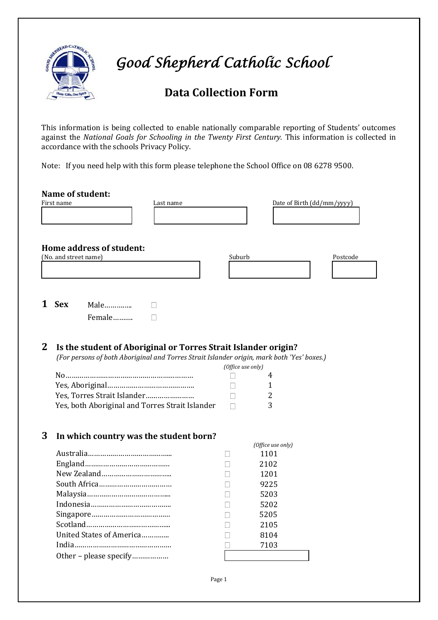

 *Good Shepherd Catholic School* 

# **Data Collection Form**

This information is being collected to enable nationally comparable reporting of Students' outcomes against the *National Goals for Schooling in the Twenty First Century.* This information is collected in accordance with the schools Privacy Policy.

Note: If you need help with this form please telephone the School Office on 08 6278 9500.

|              | <b>Name of student:</b><br>First name<br>Last name                                                                                                           |                   | Date of Birth (dd/mm/yyyy) |          |
|--------------|--------------------------------------------------------------------------------------------------------------------------------------------------------------|-------------------|----------------------------|----------|
|              | Home address of student:<br>(No. and street name)                                                                                                            | Suburb            |                            |          |
|              |                                                                                                                                                              |                   |                            | Postcode |
| 1            | <b>Sex</b><br>Male                                                                                                                                           |                   |                            |          |
|              | Female                                                                                                                                                       |                   |                            |          |
| $\mathbf{2}$ | Is the student of Aboriginal or Torres Strait Islander origin?<br>(For persons of both Aboriginal and Torres Strait Islander origin, mark both 'Yes' boxes.) | (Office use only) |                            |          |
|              |                                                                                                                                                              |                   | 4                          |          |
|              |                                                                                                                                                              |                   | 1                          |          |
|              | Yes, Torres Strait Islander                                                                                                                                  |                   | 2                          |          |
|              | Yes, both Aboriginal and Torres Strait Islander                                                                                                              | П                 | 3                          |          |
| 3            | In which country was the student born?                                                                                                                       |                   |                            |          |
|              |                                                                                                                                                              |                   | (Office use only)          |          |
|              |                                                                                                                                                              |                   | 1101                       |          |
|              |                                                                                                                                                              |                   | 2102                       |          |
|              |                                                                                                                                                              |                   | 1201                       |          |
|              |                                                                                                                                                              |                   | 9225                       |          |
|              |                                                                                                                                                              |                   | 5203                       |          |
|              |                                                                                                                                                              |                   | 5202                       |          |
|              |                                                                                                                                                              | $\Box$            | 5205                       |          |
|              |                                                                                                                                                              |                   | 2105                       |          |
|              | United States of America                                                                                                                                     |                   | 8104                       |          |
|              |                                                                                                                                                              |                   | 7103                       |          |
|              | Other - please specify                                                                                                                                       |                   |                            |          |
|              |                                                                                                                                                              |                   |                            |          |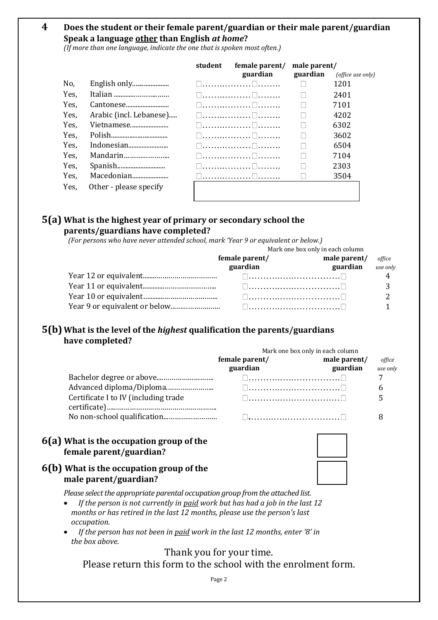## **4 Does the student or their female parent/guardian or their male parent/guardian Speak a language other than English** *at home***?**

*(If more than one language, indicate the one that is spoken most often.)*

|      |                         | student | female parent/       | male parent/ |                   |
|------|-------------------------|---------|----------------------|--------------|-------------------|
|      |                         |         | guardian             | guardian     | (office use only) |
| No,  |                         |         | 1 1. 1 1. <b>. .</b> |              | 1201              |
| Yes, | Italian                 |         | l 1. 1 1.            |              | 2401              |
| Yes. | Cantonese               |         | □………………□…            |              | 7101              |
| Yes. | Arabic (incl. Lebanese) |         |                      |              | 4202              |
| Yes. | Vietnamese              |         | U. U.                |              | 6302              |
| Yes. |                         |         | □…………………□……          |              | 3602              |
| Yes. | Indonesian              |         | l 1. 1 1.            |              | 6504              |
| Yes. | Mandarin                |         | l 1. 1 1.            |              | 7104              |
| Yes. |                         |         | l ll l               |              | 2303              |
| Yes. | Macedonian              |         |                      |              | 3504              |
| Yes. | Other - please specify  |         |                      |              |                   |
|      |                         |         |                      |              |                   |

### **5(a) What is the highest year of primary or secondary school the parents/guardians have completed?**

*(For persons who have never attended school, mark 'Year 9 or equivalent or below.)*

| Mark one box only in each column |                          |        |
|----------------------------------|--------------------------|--------|
| female parent/                   | male parent/             | office |
| guardian                         | <b>guardian</b> use only |        |
|                                  |                          |        |
|                                  |                          |        |
|                                  |                          |        |
|                                  |                          |        |

# **5(b) What is the level of the** *highest* **qualification the parents/guardians have completed?**

|                                      | Mark one box only in each column |              |          |  |
|--------------------------------------|----------------------------------|--------------|----------|--|
|                                      | female parent/                   | male parent/ | office   |  |
|                                      | guardian                         | guardian     | use only |  |
|                                      |                                  |              |          |  |
|                                      | □………………………………                    |              |          |  |
| Certificate I to IV (including trade |                                  |              |          |  |
|                                      |                                  |              |          |  |

# **6(a) What is the occupation group of the female parent/guardian?**

### **6(b) What is the occupation group of the male parent/guardian?**

*Please select the appropriate parental occupation group from the attached list.*

- *If the person is not currently in paid work but has had a job in the last 12 months or has retired in the last 12 months, please use the person's last occupation.*
- *If the person has not been in paid work in the last 12 months, enter '8' in the box above.*

Thank you for your time.

Please return this form to the school with the enrolment form.